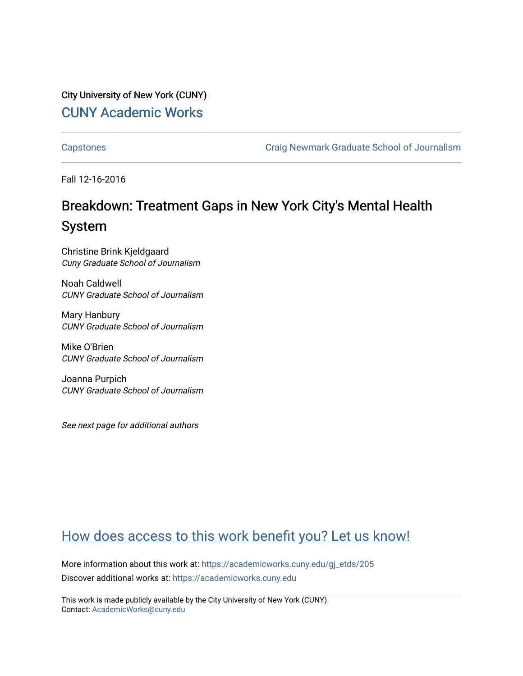City University of New York (CUNY) [CUNY Academic Works](https://academicworks.cuny.edu/) 

[Capstones](https://academicworks.cuny.edu/gj_etds) [Craig Newmark Graduate School of Journalism](https://academicworks.cuny.edu/gj) 

Fall 12-16-2016

# Breakdown: Treatment Gaps in New York City's Mental Health System

Christine Brink Kjeldgaard Cuny Graduate School of Journalism

Noah Caldwell CUNY Graduate School of Journalism

Mary Hanbury CUNY Graduate School of Journalism

Mike O'Brien CUNY Graduate School of Journalism

Joanna Purpich CUNY Graduate School of Journalism

See next page for additional authors

# [How does access to this work benefit you? Let us know!](http://ols.cuny.edu/academicworks/?ref=https://academicworks.cuny.edu/gj_etds/205)

More information about this work at: [https://academicworks.cuny.edu/gj\\_etds/205](https://academicworks.cuny.edu/gj_etds/205)  Discover additional works at: [https://academicworks.cuny.edu](https://academicworks.cuny.edu/?)

This work is made publicly available by the City University of New York (CUNY). Contact: [AcademicWorks@cuny.edu](mailto:AcademicWorks@cuny.edu)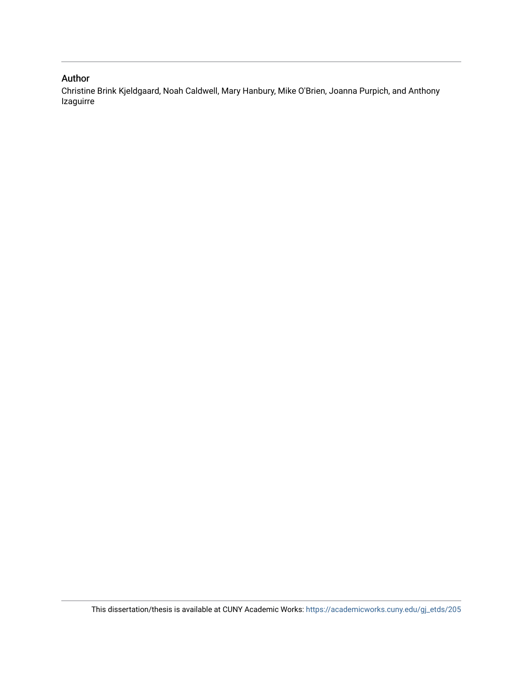# Author

Christine Brink Kjeldgaard, Noah Caldwell, Mary Hanbury, Mike O'Brien, Joanna Purpich, and Anthony Izaguirre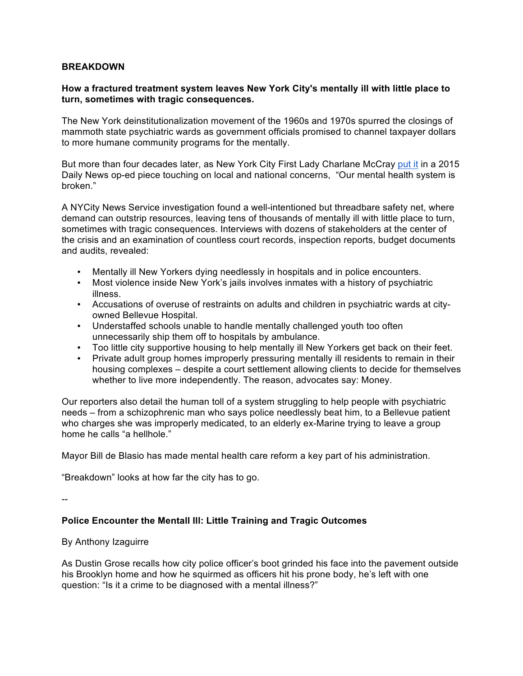#### **BREAKDOWN**

### **How a fractured treatment system leaves New York City's mentally ill with little place to turn, sometimes with tragic consequences.**

The New York deinstitutionalization movement of the 1960s and 1970s spurred the closings of mammoth state psychiatric wards as government officials promised to channel taxpayer dollars to more humane community programs for the mentally.

But more than four decades later, as New York City First Lady Charlane McCray put it in a 2015 Daily News op-ed piece touching on local and national concerns, "Our mental health system is broken."

A NYCity News Service investigation found a well-intentioned but threadbare safety net, where demand can outstrip resources, leaving tens of thousands of mentally ill with little place to turn, sometimes with tragic consequences. Interviews with dozens of stakeholders at the center of the crisis and an examination of countless court records, inspection reports, budget documents and audits, revealed:

- Mentally ill New Yorkers dying needlessly in hospitals and in police encounters.
- Most violence inside New York's jails involves inmates with a history of psychiatric illness.
- Accusations of overuse of restraints on adults and children in psychiatric wards at cityowned Bellevue Hospital.
- Understaffed schools unable to handle mentally challenged youth too often unnecessarily ship them off to hospitals by ambulance.
- Too little city supportive housing to help mentally ill New Yorkers get back on their feet.
- Private adult group homes improperly pressuring mentally ill residents to remain in their housing complexes – despite a court settlement allowing clients to decide for themselves whether to live more independently. The reason, advocates say: Money.

Our reporters also detail the human toll of a system struggling to help people with psychiatric needs – from a schizophrenic man who says police needlessly beat him, to a Bellevue patient who charges she was improperly medicated, to an elderly ex-Marine trying to leave a group home he calls "a hellhole."

Mayor Bill de Blasio has made mental health care reform a key part of his administration.

"Breakdown" looks at how far the city has to go.

--

# **Police Encounter the Mentall Ill: Little Training and Tragic Outcomes**

#### By Anthony Izaguirre

As Dustin Grose recalls how city police officer's boot grinded his face into the pavement outside his Brooklyn home and how he squirmed as officers hit his prone body, he's left with one question: "Is it a crime to be diagnosed with a mental illness?"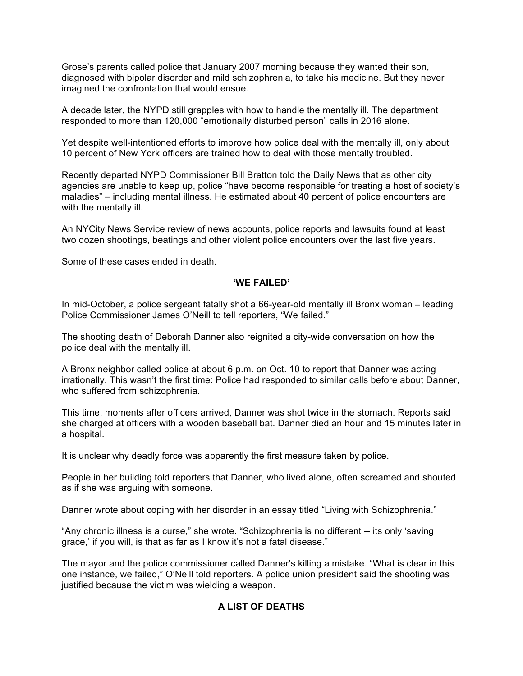Grose's parents called police that January 2007 morning because they wanted their son, diagnosed with bipolar disorder and mild schizophrenia, to take his medicine. But they never imagined the confrontation that would ensue.

A decade later, the NYPD still grapples with how to handle the mentally ill. The department responded to more than 120,000 "emotionally disturbed person" calls in 2016 alone.

Yet despite well-intentioned efforts to improve how police deal with the mentally ill, only about 10 percent of New York officers are trained how to deal with those mentally troubled.

Recently departed NYPD Commissioner Bill Bratton told the Daily News that as other city agencies are unable to keep up, police "have become responsible for treating a host of society's maladies" – including mental illness. He estimated about 40 percent of police encounters are with the mentally ill.

An NYCity News Service review of news accounts, police reports and lawsuits found at least two dozen shootings, beatings and other violent police encounters over the last five years.

Some of these cases ended in death.

#### **'WE FAILED'**

In mid-October, a police sergeant fatally shot a 66-year-old mentally ill Bronx woman – leading Police Commissioner James O'Neill to tell reporters, "We failed."

The shooting death of Deborah Danner also reignited a city-wide conversation on how the police deal with the mentally ill.

A Bronx neighbor called police at about 6 p.m. on Oct. 10 to report that Danner was acting irrationally. This wasn't the first time: Police had responded to similar calls before about Danner, who suffered from schizophrenia.

This time, moments after officers arrived, Danner was shot twice in the stomach. Reports said she charged at officers with a wooden baseball bat. Danner died an hour and 15 minutes later in a hospital.

It is unclear why deadly force was apparently the first measure taken by police.

People in her building told reporters that Danner, who lived alone, often screamed and shouted as if she was arguing with someone.

Danner wrote about coping with her disorder in an essay titled "Living with Schizophrenia."

"Any chronic illness is a curse," she wrote. "Schizophrenia is no different -- its only 'saving grace,' if you will, is that as far as I know it's not a fatal disease."

The mayor and the police commissioner called Danner's killing a mistake. "What is clear in this one instance, we failed," O'Neill told reporters. A police union president said the shooting was justified because the victim was wielding a weapon.

### **A LIST OF DEATHS**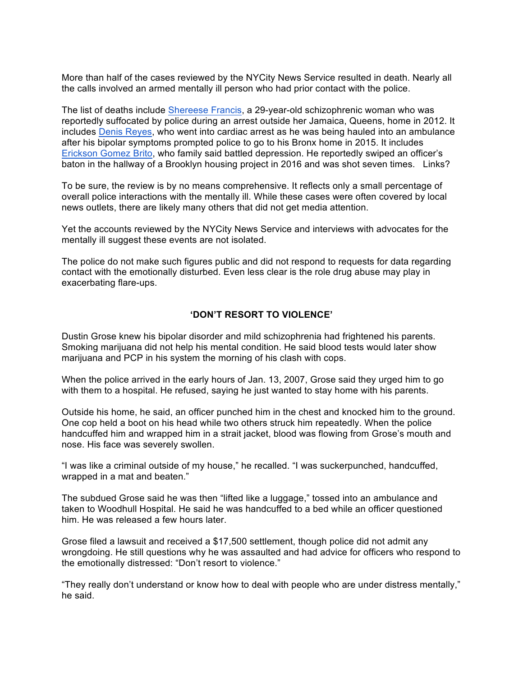More than half of the cases reviewed by the NYCity News Service resulted in death. Nearly all the calls involved an armed mentally ill person who had prior contact with the police.

The list of deaths include Shereese Francis, a 29-year-old schizophrenic woman who was reportedly suffocated by police during an arrest outside her Jamaica, Queens, home in 2012. It includes Denis Reyes, who went into cardiac arrest as he was being hauled into an ambulance after his bipolar symptoms prompted police to go to his Bronx home in 2015. It includes Erickson Gomez Brito, who family said battled depression. He reportedly swiped an officer's baton in the hallway of a Brooklyn housing project in 2016 and was shot seven times. Links?

To be sure, the review is by no means comprehensive. It reflects only a small percentage of overall police interactions with the mentally ill. While these cases were often covered by local news outlets, there are likely many others that did not get media attention.

Yet the accounts reviewed by the NYCity News Service and interviews with advocates for the mentally ill suggest these events are not isolated.

The police do not make such figures public and did not respond to requests for data regarding contact with the emotionally disturbed. Even less clear is the role drug abuse may play in exacerbating flare-ups.

# **'DON'T RESORT TO VIOLENCE'**

Dustin Grose knew his bipolar disorder and mild schizophrenia had frightened his parents. Smoking marijuana did not help his mental condition. He said blood tests would later show marijuana and PCP in his system the morning of his clash with cops.

When the police arrived in the early hours of Jan. 13, 2007, Grose said they urged him to go with them to a hospital. He refused, saying he just wanted to stay home with his parents.

Outside his home, he said, an officer punched him in the chest and knocked him to the ground. One cop held a boot on his head while two others struck him repeatedly. When the police handcuffed him and wrapped him in a strait jacket, blood was flowing from Grose's mouth and nose. His face was severely swollen.

"I was like a criminal outside of my house," he recalled. "I was suckerpunched, handcuffed, wrapped in a mat and beaten."

The subdued Grose said he was then "lifted like a luggage," tossed into an ambulance and taken to Woodhull Hospital. He said he was handcuffed to a bed while an officer questioned him. He was released a few hours later.

Grose filed a lawsuit and received a \$17,500 settlement, though police did not admit any wrongdoing. He still questions why he was assaulted and had advice for officers who respond to the emotionally distressed: "Don't resort to violence."

"They really don't understand or know how to deal with people who are under distress mentally," he said.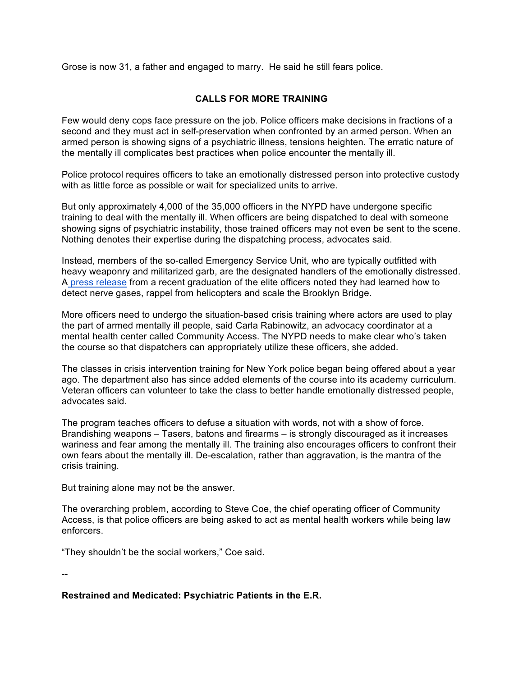Grose is now 31, a father and engaged to marry. He said he still fears police.

# **CALLS FOR MORE TRAINING**

Few would deny cops face pressure on the job. Police officers make decisions in fractions of a second and they must act in self-preservation when confronted by an armed person. When an armed person is showing signs of a psychiatric illness, tensions heighten. The erratic nature of the mentally ill complicates best practices when police encounter the mentally ill.

Police protocol requires officers to take an emotionally distressed person into protective custody with as little force as possible or wait for specialized units to arrive.

But only approximately 4,000 of the 35,000 officers in the NYPD have undergone specific training to deal with the mentally ill. When officers are being dispatched to deal with someone showing signs of psychiatric instability, those trained officers may not even be sent to the scene. Nothing denotes their expertise during the dispatching process, advocates said.

Instead, members of the so-called Emergency Service Unit, who are typically outfitted with heavy weaponry and militarized garb, are the designated handlers of the emotionally distressed. A press release from a recent graduation of the elite officers noted they had learned how to detect nerve gases, rappel from helicopters and scale the Brooklyn Bridge.

More officers need to undergo the situation-based crisis training where actors are used to play the part of armed mentally ill people, said Carla Rabinowitz, an advocacy coordinator at a mental health center called Community Access. The NYPD needs to make clear who's taken the course so that dispatchers can appropriately utilize these officers, she added.

The classes in crisis intervention training for New York police began being offered about a year ago. The department also has since added elements of the course into its academy curriculum. Veteran officers can volunteer to take the class to better handle emotionally distressed people, advocates said.

The program teaches officers to defuse a situation with words, not with a show of force. Brandishing weapons – Tasers, batons and firearms – is strongly discouraged as it increases wariness and fear among the mentally ill. The training also encourages officers to confront their own fears about the mentally ill. De-escalation, rather than aggravation, is the mantra of the crisis training.

But training alone may not be the answer.

The overarching problem, according to Steve Coe, the chief operating officer of Community Access, is that police officers are being asked to act as mental health workers while being law enforcers.

"They shouldn't be the social workers," Coe said.

--

# **Restrained and Medicated: Psychiatric Patients in the E.R.**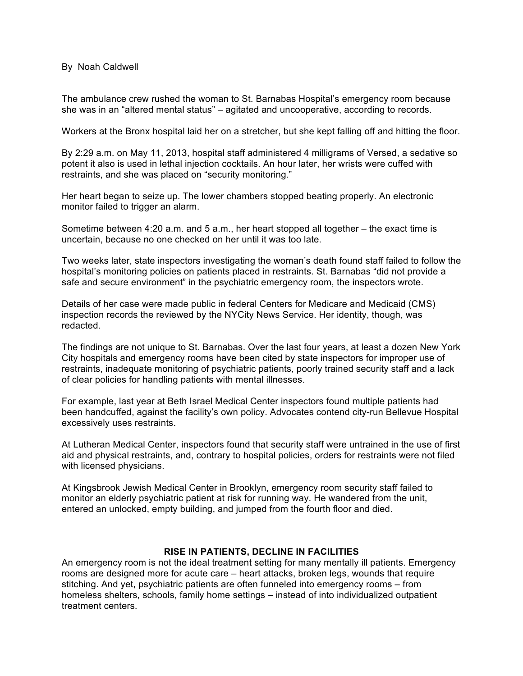By Noah Caldwell

The ambulance crew rushed the woman to St. Barnabas Hospital's emergency room because she was in an "altered mental status" – agitated and uncooperative, according to records.

Workers at the Bronx hospital laid her on a stretcher, but she kept falling off and hitting the floor.

By 2:29 a.m. on May 11, 2013, hospital staff administered 4 milligrams of Versed, a sedative so potent it also is used in lethal injection cocktails. An hour later, her wrists were cuffed with restraints, and she was placed on "security monitoring."

Her heart began to seize up. The lower chambers stopped beating properly. An electronic monitor failed to trigger an alarm.

Sometime between 4:20 a.m. and 5 a.m., her heart stopped all together – the exact time is uncertain, because no one checked on her until it was too late.

Two weeks later, state inspectors investigating the woman's death found staff failed to follow the hospital's monitoring policies on patients placed in restraints. St. Barnabas "did not provide a safe and secure environment" in the psychiatric emergency room, the inspectors wrote.

Details of her case were made public in federal Centers for Medicare and Medicaid (CMS) inspection records the reviewed by the NYCity News Service. Her identity, though, was redacted.

The findings are not unique to St. Barnabas. Over the last four years, at least a dozen New York City hospitals and emergency rooms have been cited by state inspectors for improper use of restraints, inadequate monitoring of psychiatric patients, poorly trained security staff and a lack of clear policies for handling patients with mental illnesses.

For example, last year at Beth Israel Medical Center inspectors found multiple patients had been handcuffed, against the facility's own policy. Advocates contend city-run Bellevue Hospital excessively uses restraints.

At Lutheran Medical Center, inspectors found that security staff were untrained in the use of first aid and physical restraints, and, contrary to hospital policies, orders for restraints were not filed with licensed physicians.

At Kingsbrook Jewish Medical Center in Brooklyn, emergency room security staff failed to monitor an elderly psychiatric patient at risk for running way. He wandered from the unit, entered an unlocked, empty building, and jumped from the fourth floor and died.

#### **RISE IN PATIENTS, DECLINE IN FACILITIES**

An emergency room is not the ideal treatment setting for many mentally ill patients. Emergency rooms are designed more for acute care – heart attacks, broken legs, wounds that require stitching. And yet, psychiatric patients are often funneled into emergency rooms – from homeless shelters, schools, family home settings – instead of into individualized outpatient treatment centers.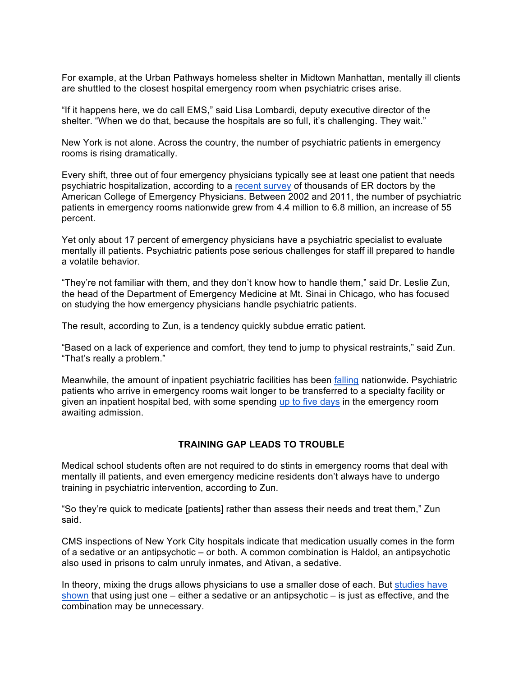For example, at the Urban Pathways homeless shelter in Midtown Manhattan, mentally ill clients are shuttled to the closest hospital emergency room when psychiatric crises arise.

"If it happens here, we do call EMS," said Lisa Lombardi, deputy executive director of the shelter. "When we do that, because the hospitals are so full, it's challenging. They wait."

New York is not alone. Across the country, the number of psychiatric patients in emergency rooms is rising dramatically.

Every shift, three out of four emergency physicians typically see at least one patient that needs psychiatric hospitalization, according to a recent survey of thousands of ER doctors by the American College of Emergency Physicians. Between 2002 and 2011, the number of psychiatric patients in emergency rooms nationwide grew from 4.4 million to 6.8 million, an increase of 55 percent.

Yet only about 17 percent of emergency physicians have a psychiatric specialist to evaluate mentally ill patients. Psychiatric patients pose serious challenges for staff ill prepared to handle a volatile behavior.

"They're not familiar with them, and they don't know how to handle them," said Dr. Leslie Zun, the head of the Department of Emergency Medicine at Mt. Sinai in Chicago, who has focused on studying the how emergency physicians handle psychiatric patients.

The result, according to Zun, is a tendency quickly subdue erratic patient.

"Based on a lack of experience and comfort, they tend to jump to physical restraints," said Zun. "That's really a problem."

Meanwhile, the amount of inpatient psychiatric facilities has been falling nationwide. Psychiatric patients who arrive in emergency rooms wait longer to be transferred to a specialty facility or given an inpatient hospital bed, with some spending up to five days in the emergency room awaiting admission.

#### **TRAINING GAP LEADS TO TROUBLE**

Medical school students often are not required to do stints in emergency rooms that deal with mentally ill patients, and even emergency medicine residents don't always have to undergo training in psychiatric intervention, according to Zun.

"So they're quick to medicate [patients] rather than assess their needs and treat them," Zun said.

CMS inspections of New York City hospitals indicate that medication usually comes in the form of a sedative or an antipsychotic – or both. A common combination is Haldol, an antipsychotic also used in prisons to calm unruly inmates, and Ativan, a sedative.

In theory, mixing the drugs allows physicians to use a smaller dose of each. But studies have shown that using just one – either a sedative or an antipsychotic – is just as effective, and the combination may be unnecessary.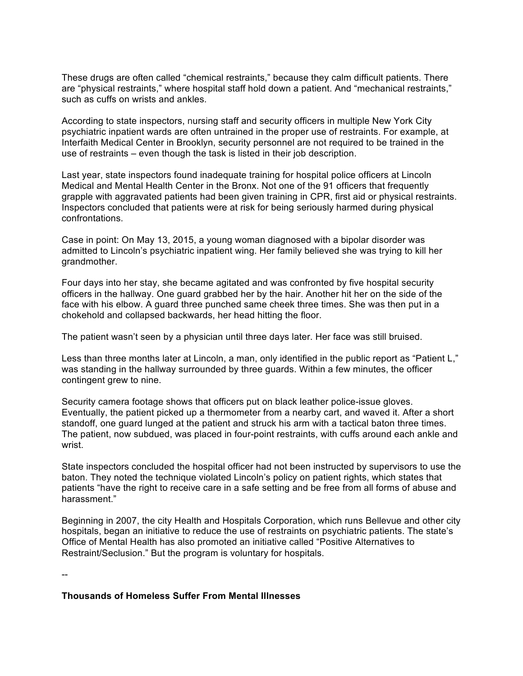These drugs are often called "chemical restraints," because they calm difficult patients. There are "physical restraints," where hospital staff hold down a patient. And "mechanical restraints," such as cuffs on wrists and ankles.

According to state inspectors, nursing staff and security officers in multiple New York City psychiatric inpatient wards are often untrained in the proper use of restraints. For example, at Interfaith Medical Center in Brooklyn, security personnel are not required to be trained in the use of restraints – even though the task is listed in their job description.

Last year, state inspectors found inadequate training for hospital police officers at Lincoln Medical and Mental Health Center in the Bronx. Not one of the 91 officers that frequently grapple with aggravated patients had been given training in CPR, first aid or physical restraints. Inspectors concluded that patients were at risk for being seriously harmed during physical confrontations.

Case in point: On May 13, 2015, a young woman diagnosed with a bipolar disorder was admitted to Lincoln's psychiatric inpatient wing. Her family believed she was trying to kill her grandmother.

Four days into her stay, she became agitated and was confronted by five hospital security officers in the hallway. One guard grabbed her by the hair. Another hit her on the side of the face with his elbow. A guard three punched same cheek three times. She was then put in a chokehold and collapsed backwards, her head hitting the floor.

The patient wasn't seen by a physician until three days later. Her face was still bruised.

Less than three months later at Lincoln, a man, only identified in the public report as "Patient L," was standing in the hallway surrounded by three guards. Within a few minutes, the officer contingent grew to nine.

Security camera footage shows that officers put on black leather police-issue gloves. Eventually, the patient picked up a thermometer from a nearby cart, and waved it. After a short standoff, one guard lunged at the patient and struck his arm with a tactical baton three times. The patient, now subdued, was placed in four-point restraints, with cuffs around each ankle and wrist.

State inspectors concluded the hospital officer had not been instructed by supervisors to use the baton. They noted the technique violated Lincoln's policy on patient rights, which states that patients "have the right to receive care in a safe setting and be free from all forms of abuse and harassment."

Beginning in 2007, the city Health and Hospitals Corporation, which runs Bellevue and other city hospitals, began an initiative to reduce the use of restraints on psychiatric patients. The state's Office of Mental Health has also promoted an initiative called "Positive Alternatives to Restraint/Seclusion." But the program is voluntary for hospitals.

--

#### **Thousands of Homeless Suffer From Mental Illnesses**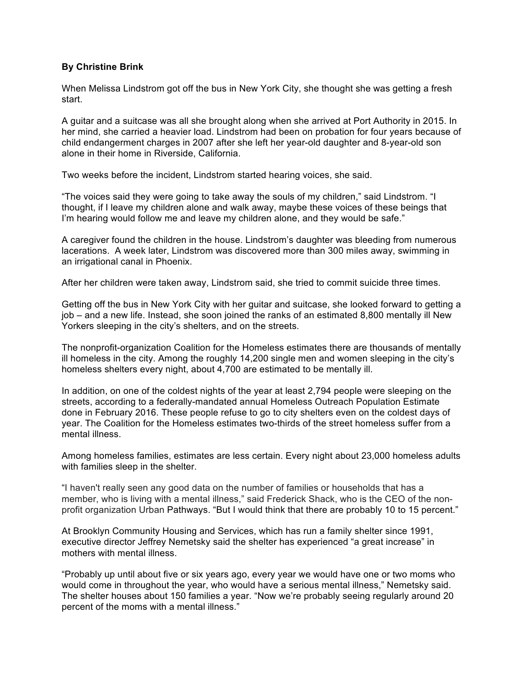# **By Christine Brink**

When Melissa Lindstrom got off the bus in New York City, she thought she was getting a fresh start.

A guitar and a suitcase was all she brought along when she arrived at Port Authority in 2015. In her mind, she carried a heavier load. Lindstrom had been on probation for four years because of child endangerment charges in 2007 after she left her year-old daughter and 8-year-old son alone in their home in Riverside, California.

Two weeks before the incident, Lindstrom started hearing voices, she said.

"The voices said they were going to take away the souls of my children," said Lindstrom. "I thought, if I leave my children alone and walk away, maybe these voices of these beings that I'm hearing would follow me and leave my children alone, and they would be safe."

A caregiver found the children in the house. Lindstrom's daughter was bleeding from numerous lacerations. A week later, Lindstrom was discovered more than 300 miles away, swimming in an irrigational canal in Phoenix.

After her children were taken away, Lindstrom said, she tried to commit suicide three times.

Getting off the bus in New York City with her guitar and suitcase, she looked forward to getting a job – and a new life. Instead, she soon joined the ranks of an estimated 8,800 mentally ill New Yorkers sleeping in the city's shelters, and on the streets.

The nonprofit-organization Coalition for the Homeless estimates there are thousands of mentally ill homeless in the city. Among the roughly 14,200 single men and women sleeping in the city's homeless shelters every night, about 4,700 are estimated to be mentally ill.

In addition, on one of the coldest nights of the year at least 2,794 people were sleeping on the streets, according to a federally-mandated annual Homeless Outreach Population Estimate done in February 2016. These people refuse to go to city shelters even on the coldest days of year. The Coalition for the Homeless estimates two-thirds of the street homeless suffer from a mental illness.

Among homeless families, estimates are less certain. Every night about 23,000 homeless adults with families sleep in the shelter.

"I haven't really seen any good data on the number of families or households that has a member, who is living with a mental illness," said Frederick Shack, who is the CEO of the nonprofit organization Urban Pathways. "But I would think that there are probably 10 to 15 percent."

At Brooklyn Community Housing and Services, which has run a family shelter since 1991, executive director Jeffrey Nemetsky said the shelter has experienced "a great increase" in mothers with mental illness.

"Probably up until about five or six years ago, every year we would have one or two moms who would come in throughout the year, who would have a serious mental illness," Nemetsky said. The shelter houses about 150 families a year. "Now we're probably seeing regularly around 20 percent of the moms with a mental illness."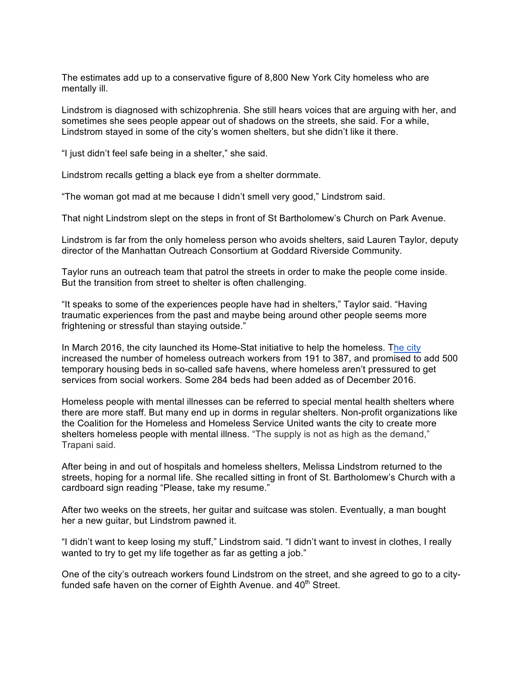The estimates add up to a conservative figure of 8,800 New York City homeless who are mentally ill.

Lindstrom is diagnosed with schizophrenia. She still hears voices that are arguing with her, and sometimes she sees people appear out of shadows on the streets, she said. For a while, Lindstrom stayed in some of the city's women shelters, but she didn't like it there.

"I just didn't feel safe being in a shelter," she said.

Lindstrom recalls getting a black eye from a shelter dormmate.

"The woman got mad at me because I didn't smell very good," Lindstrom said.

That night Lindstrom slept on the steps in front of St Bartholomew's Church on Park Avenue.

Lindstrom is far from the only homeless person who avoids shelters, said Lauren Taylor, deputy director of the Manhattan Outreach Consortium at Goddard Riverside Community.

Taylor runs an outreach team that patrol the streets in order to make the people come inside. But the transition from street to shelter is often challenging.

"It speaks to some of the experiences people have had in shelters," Taylor said. "Having traumatic experiences from the past and maybe being around other people seems more frightening or stressful than staying outside."

In March 2016, the city launched its Home-Stat initiative to help the homeless. The city increased the number of homeless outreach workers from 191 to 387, and promised to add 500 temporary housing beds in so-called safe havens, where homeless aren't pressured to get services from social workers. Some 284 beds had been added as of December 2016.

Homeless people with mental illnesses can be referred to special mental health shelters where there are more staff. But many end up in dorms in regular shelters. Non-profit organizations like the Coalition for the Homeless and Homeless Service United wants the city to create more shelters homeless people with mental illness. "The supply is not as high as the demand," Trapani said.

After being in and out of hospitals and homeless shelters, Melissa Lindstrom returned to the streets, hoping for a normal life. She recalled sitting in front of St. Bartholomew's Church with a cardboard sign reading "Please, take my resume."

After two weeks on the streets, her guitar and suitcase was stolen. Eventually, a man bought her a new guitar, but Lindstrom pawned it.

"I didn't want to keep losing my stuff," Lindstrom said. "I didn't want to invest in clothes, I really wanted to try to get my life together as far as getting a job."

One of the city's outreach workers found Lindstrom on the street, and she agreed to go to a cityfunded safe haven on the corner of Eighth Avenue. and  $40<sup>th</sup>$  Street.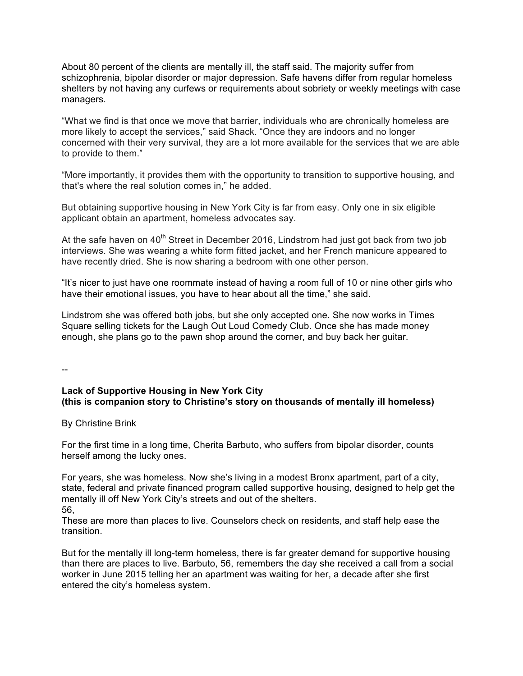About 80 percent of the clients are mentally ill, the staff said. The majority suffer from schizophrenia, bipolar disorder or major depression. Safe havens differ from regular homeless shelters by not having any curfews or requirements about sobriety or weekly meetings with case managers.

"What we find is that once we move that barrier, individuals who are chronically homeless are more likely to accept the services," said Shack. "Once they are indoors and no longer concerned with their very survival, they are a lot more available for the services that we are able to provide to them."

"More importantly, it provides them with the opportunity to transition to supportive housing, and that's where the real solution comes in," he added.

But obtaining supportive housing in New York City is far from easy. Only one in six eligible applicant obtain an apartment, homeless advocates say.

At the safe haven on  $40<sup>th</sup>$  Street in December 2016, Lindstrom had just got back from two job interviews. She was wearing a white form fitted jacket, and her French manicure appeared to have recently dried. She is now sharing a bedroom with one other person.

"It's nicer to just have one roommate instead of having a room full of 10 or nine other girls who have their emotional issues, you have to hear about all the time," she said.

Lindstrom she was offered both jobs, but she only accepted one. She now works in Times Square selling tickets for the Laugh Out Loud Comedy Club. Once she has made money enough, she plans go to the pawn shop around the corner, and buy back her guitar.

--

### **Lack of Supportive Housing in New York City (this is companion story to Christine's story on thousands of mentally ill homeless)**

By Christine Brink

For the first time in a long time, Cherita Barbuto, who suffers from bipolar disorder, counts herself among the lucky ones.

For years, she was homeless. Now she's living in a modest Bronx apartment, part of a city, state, federal and private financed program called supportive housing, designed to help get the mentally ill off New York City's streets and out of the shelters. 56,

These are more than places to live. Counselors check on residents, and staff help ease the transition.

But for the mentally ill long-term homeless, there is far greater demand for supportive housing than there are places to live. Barbuto, 56, remembers the day she received a call from a social worker in June 2015 telling her an apartment was waiting for her, a decade after she first entered the city's homeless system.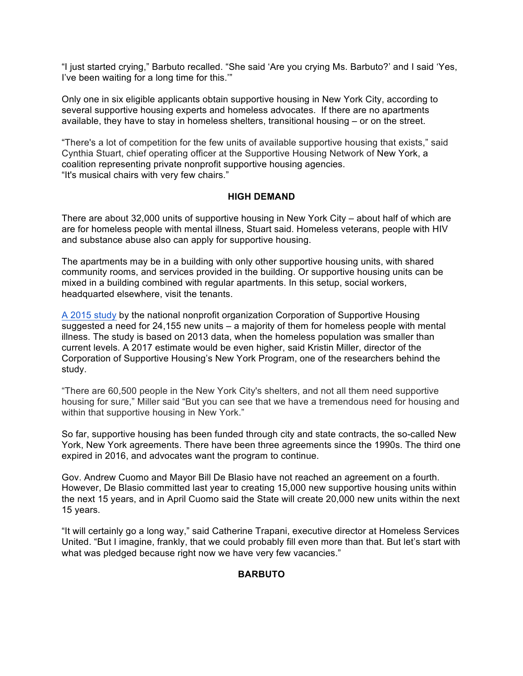"I just started crying," Barbuto recalled. "She said 'Are you crying Ms. Barbuto?' and I said 'Yes, I've been waiting for a long time for this.'"

Only one in six eligible applicants obtain supportive housing in New York City, according to several supportive housing experts and homeless advocates. If there are no apartments available, they have to stay in homeless shelters, transitional housing – or on the street.

"There's a lot of competition for the few units of available supportive housing that exists," said Cynthia Stuart, chief operating officer at the Supportive Housing Network of New York, a coalition representing private nonprofit supportive housing agencies. "It's musical chairs with very few chairs."

#### **HIGH DEMAND**

There are about 32,000 units of supportive housing in New York City – about half of which are are for homeless people with mental illness, Stuart said. Homeless veterans, people with HIV and substance abuse also can apply for supportive housing.

The apartments may be in a building with only other supportive housing units, with shared community rooms, and services provided in the building. Or supportive housing units can be mixed in a building combined with regular apartments. In this setup, social workers, headquarted elsewhere, visit the tenants.

A 2015 study by the national nonprofit organization Corporation of Supportive Housing suggested a need for 24,155 new units – a majority of them for homeless people with mental illness. The study is based on 2013 data, when the homeless population was smaller than current levels. A 2017 estimate would be even higher, said Kristin Miller, director of the Corporation of Supportive Housing's New York Program, one of the researchers behind the study.

"There are 60,500 people in the New York City's shelters, and not all them need supportive housing for sure," Miller said "But you can see that we have a tremendous need for housing and within that supportive housing in New York."

So far, supportive housing has been funded through city and state contracts, the so-called New York, New York agreements. There have been three agreements since the 1990s. The third one expired in 2016, and advocates want the program to continue.

Gov. Andrew Cuomo and Mayor Bill De Blasio have not reached an agreement on a fourth. However, De Blasio committed last year to creating 15,000 new supportive housing units within the next 15 years, and in April Cuomo said the State will create 20,000 new units within the next 15 years.

"It will certainly go a long way," said Catherine Trapani, executive director at Homeless Services United. "But I imagine, frankly, that we could probably fill even more than that. But let's start with what was pledged because right now we have very few vacancies."

#### **BARBUTO**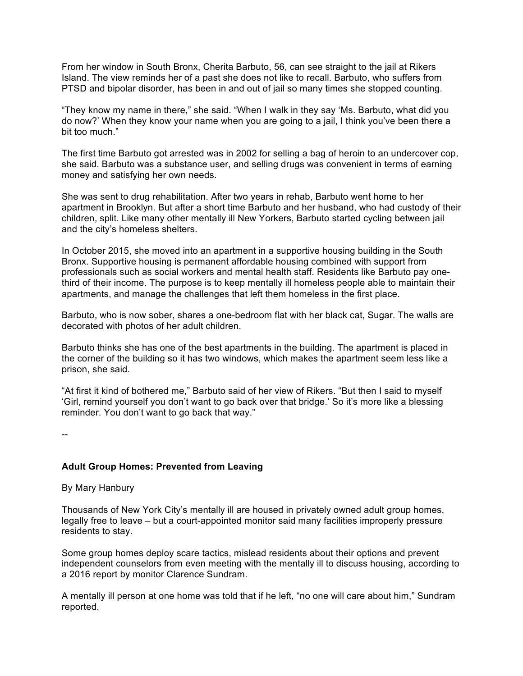From her window in South Bronx, Cherita Barbuto, 56, can see straight to the jail at Rikers Island. The view reminds her of a past she does not like to recall. Barbuto, who suffers from PTSD and bipolar disorder, has been in and out of jail so many times she stopped counting.

"They know my name in there," she said. "When I walk in they say 'Ms. Barbuto, what did you do now?' When they know your name when you are going to a jail, I think you've been there a bit too much."

The first time Barbuto got arrested was in 2002 for selling a bag of heroin to an undercover cop, she said. Barbuto was a substance user, and selling drugs was convenient in terms of earning money and satisfying her own needs.

She was sent to drug rehabilitation. After two years in rehab, Barbuto went home to her apartment in Brooklyn. But after a short time Barbuto and her husband, who had custody of their children, split. Like many other mentally ill New Yorkers, Barbuto started cycling between jail and the city's homeless shelters.

In October 2015, she moved into an apartment in a supportive housing building in the South Bronx. Supportive housing is permanent affordable housing combined with support from professionals such as social workers and mental health staff. Residents like Barbuto pay onethird of their income. The purpose is to keep mentally ill homeless people able to maintain their apartments, and manage the challenges that left them homeless in the first place.

Barbuto, who is now sober, shares a one-bedroom flat with her black cat, Sugar. The walls are decorated with photos of her adult children.

Barbuto thinks she has one of the best apartments in the building. The apartment is placed in the corner of the building so it has two windows, which makes the apartment seem less like a prison, she said.

"At first it kind of bothered me," Barbuto said of her view of Rikers. "But then I said to myself 'Girl, remind yourself you don't want to go back over that bridge.' So it's more like a blessing reminder. You don't want to go back that way."

--

# **Adult Group Homes: Prevented from Leaving**

By Mary Hanbury

Thousands of New York City's mentally ill are housed in privately owned adult group homes, legally free to leave – but a court-appointed monitor said many facilities improperly pressure residents to stay.

Some group homes deploy scare tactics, mislead residents about their options and prevent independent counselors from even meeting with the mentally ill to discuss housing, according to a 2016 report by monitor Clarence Sundram.

A mentally ill person at one home was told that if he left, "no one will care about him," Sundram reported.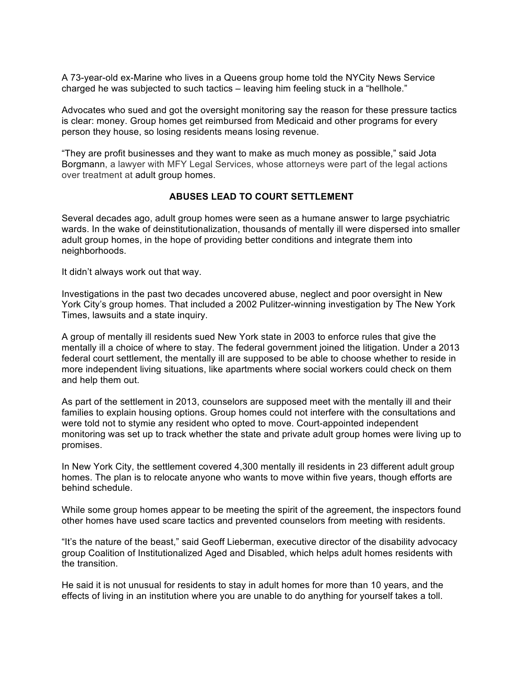A 73-year-old ex-Marine who lives in a Queens group home told the NYCity News Service charged he was subjected to such tactics – leaving him feeling stuck in a "hellhole."

Advocates who sued and got the oversight monitoring say the reason for these pressure tactics is clear: money. Group homes get reimbursed from Medicaid and other programs for every person they house, so losing residents means losing revenue.

"They are profit businesses and they want to make as much money as possible," said Jota Borgmann, a lawyer with MFY Legal Services, whose attorneys were part of the legal actions over treatment at adult group homes.

#### **ABUSES LEAD TO COURT SETTLEMENT**

Several decades ago, adult group homes were seen as a humane answer to large psychiatric wards. In the wake of deinstitutionalization, thousands of mentally ill were dispersed into smaller adult group homes, in the hope of providing better conditions and integrate them into neighborhoods.

It didn't always work out that way.

Investigations in the past two decades uncovered abuse, neglect and poor oversight in New York City's group homes. That included a 2002 Pulitzer-winning investigation by The New York Times, lawsuits and a state inquiry.

A group of mentally ill residents sued New York state in 2003 to enforce rules that give the mentally ill a choice of where to stay. The federal government joined the litigation. Under a 2013 federal court settlement, the mentally ill are supposed to be able to choose whether to reside in more independent living situations, like apartments where social workers could check on them and help them out.

As part of the settlement in 2013, counselors are supposed meet with the mentally ill and their families to explain housing options. Group homes could not interfere with the consultations and were told not to stymie any resident who opted to move. Court-appointed independent monitoring was set up to track whether the state and private adult group homes were living up to promises.

In New York City, the settlement covered 4,300 mentally ill residents in 23 different adult group homes. The plan is to relocate anyone who wants to move within five years, though efforts are behind schedule.

While some group homes appear to be meeting the spirit of the agreement, the inspectors found other homes have used scare tactics and prevented counselors from meeting with residents.

"It's the nature of the beast," said Geoff Lieberman, executive director of the disability advocacy group Coalition of Institutionalized Aged and Disabled, which helps adult homes residents with the transition.

He said it is not unusual for residents to stay in adult homes for more than 10 years, and the effects of living in an institution where you are unable to do anything for yourself takes a toll.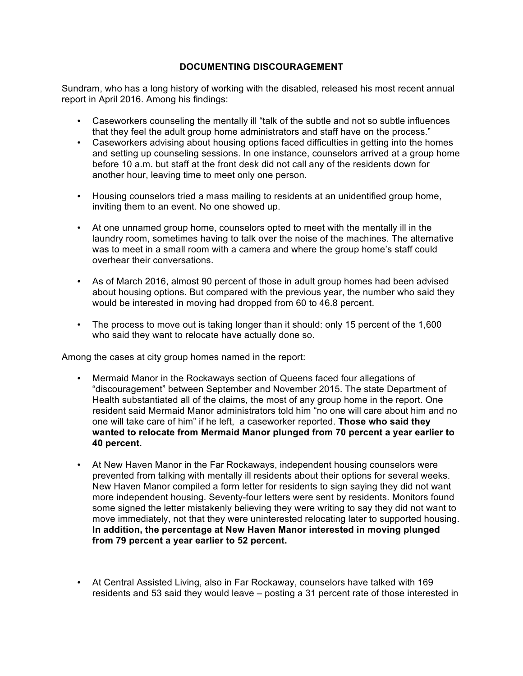# **DOCUMENTING DISCOURAGEMENT**

Sundram, who has a long history of working with the disabled, released his most recent annual report in April 2016. Among his findings:

- Caseworkers counseling the mentally ill "talk of the subtle and not so subtle influences that they feel the adult group home administrators and staff have on the process."
- Caseworkers advising about housing options faced difficulties in getting into the homes and setting up counseling sessions. In one instance, counselors arrived at a group home before 10 a.m. but staff at the front desk did not call any of the residents down for another hour, leaving time to meet only one person.
- Housing counselors tried a mass mailing to residents at an unidentified group home, inviting them to an event. No one showed up.
- At one unnamed group home, counselors opted to meet with the mentally ill in the laundry room, sometimes having to talk over the noise of the machines. The alternative was to meet in a small room with a camera and where the group home's staff could overhear their conversations.
- As of March 2016, almost 90 percent of those in adult group homes had been advised about housing options. But compared with the previous year, the number who said they would be interested in moving had dropped from 60 to 46.8 percent.
- The process to move out is taking longer than it should: only 15 percent of the 1,600 who said they want to relocate have actually done so.

Among the cases at city group homes named in the report:

- Mermaid Manor in the Rockaways section of Queens faced four allegations of "discouragement" between September and November 2015. The state Department of Health substantiated all of the claims, the most of any group home in the report. One resident said Mermaid Manor administrators told him "no one will care about him and no one will take care of him" if he left, a caseworker reported. **Those who said they wanted to relocate from Mermaid Manor plunged from 70 percent a year earlier to 40 percent.**
- At New Haven Manor in the Far Rockaways, independent housing counselors were prevented from talking with mentally ill residents about their options for several weeks. New Haven Manor compiled a form letter for residents to sign saying they did not want more independent housing. Seventy-four letters were sent by residents. Monitors found some signed the letter mistakenly believing they were writing to say they did not want to move immediately, not that they were uninterested relocating later to supported housing. **In addition, the percentage at New Haven Manor interested in moving plunged from 79 percent a year earlier to 52 percent.**
- At Central Assisted Living, also in Far Rockaway, counselors have talked with 169 residents and 53 said they would leave – posting a 31 percent rate of those interested in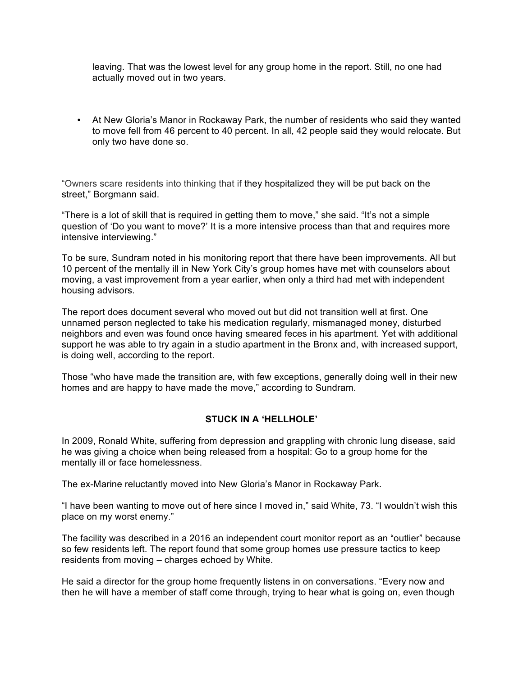leaving. That was the lowest level for any group home in the report. Still, no one had actually moved out in two years.

• At New Gloria's Manor in Rockaway Park, the number of residents who said they wanted to move fell from 46 percent to 40 percent. In all, 42 people said they would relocate. But only two have done so.

"Owners scare residents into thinking that if they hospitalized they will be put back on the street," Borgmann said.

"There is a lot of skill that is required in getting them to move," she said. "It's not a simple question of 'Do you want to move?' It is a more intensive process than that and requires more intensive interviewing."

To be sure, Sundram noted in his monitoring report that there have been improvements. All but 10 percent of the mentally ill in New York City's group homes have met with counselors about moving, a vast improvement from a year earlier, when only a third had met with independent housing advisors.

The report does document several who moved out but did not transition well at first. One unnamed person neglected to take his medication regularly, mismanaged money, disturbed neighbors and even was found once having smeared feces in his apartment. Yet with additional support he was able to try again in a studio apartment in the Bronx and, with increased support, is doing well, according to the report.

Those "who have made the transition are, with few exceptions, generally doing well in their new homes and are happy to have made the move," according to Sundram.

# **STUCK IN A 'HELLHOLE'**

In 2009, Ronald White, suffering from depression and grappling with chronic lung disease, said he was giving a choice when being released from a hospital: Go to a group home for the mentally ill or face homelessness.

The ex-Marine reluctantly moved into New Gloria's Manor in Rockaway Park.

"I have been wanting to move out of here since I moved in," said White, 73. "I wouldn't wish this place on my worst enemy."

The facility was described in a 2016 an independent court monitor report as an "outlier" because so few residents left. The report found that some group homes use pressure tactics to keep residents from moving – charges echoed by White.

He said a director for the group home frequently listens in on conversations. "Every now and then he will have a member of staff come through, trying to hear what is going on, even though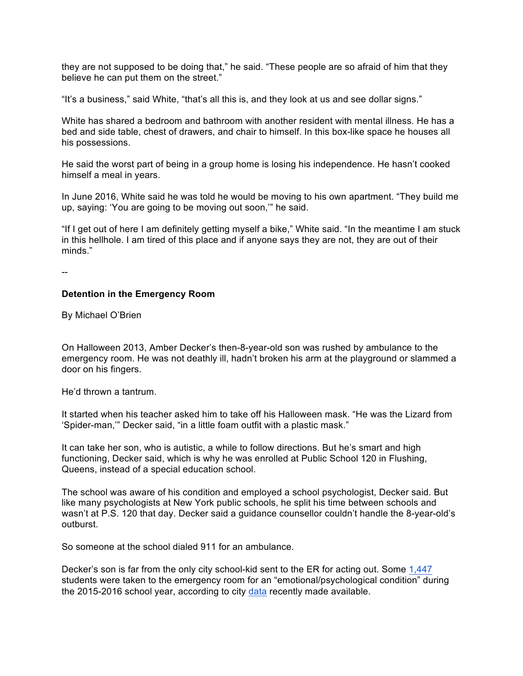they are not supposed to be doing that," he said. "These people are so afraid of him that they believe he can put them on the street."

"It's a business," said White, "that's all this is, and they look at us and see dollar signs."

White has shared a bedroom and bathroom with another resident with mental illness. He has a bed and side table, chest of drawers, and chair to himself. In this box-like space he houses all his possessions.

He said the worst part of being in a group home is losing his independence. He hasn't cooked himself a meal in years.

In June 2016, White said he was told he would be moving to his own apartment. "They build me up, saying: 'You are going to be moving out soon,'" he said.

"If I get out of here I am definitely getting myself a bike," White said. "In the meantime I am stuck in this hellhole. I am tired of this place and if anyone says they are not, they are out of their minds."

--

#### **Detention in the Emergency Room**

By Michael O'Brien

On Halloween 2013, Amber Decker's then-8-year-old son was rushed by ambulance to the emergency room. He was not deathly ill, hadn't broken his arm at the playground or slammed a door on his fingers.

He'd thrown a tantrum.

It started when his teacher asked him to take off his Halloween mask. "He was the Lizard from 'Spider-man,'" Decker said, "in a little foam outfit with a plastic mask."

It can take her son, who is autistic, a while to follow directions. But he's smart and high functioning, Decker said, which is why he was enrolled at Public School 120 in Flushing, Queens, instead of a special education school.

The school was aware of his condition and employed a school psychologist, Decker said. But like many psychologists at New York public schools, he split his time between schools and wasn't at P.S. 120 that day. Decker said a guidance counsellor couldn't handle the 8-year-old's outburst.

So someone at the school dialed 911 for an ambulance.

Decker's son is far from the only city school-kid sent to the ER for acting out. Some 1,447 students were taken to the emergency room for an "emotional/psychological condition" during the 2015-2016 school year, according to city data recently made available.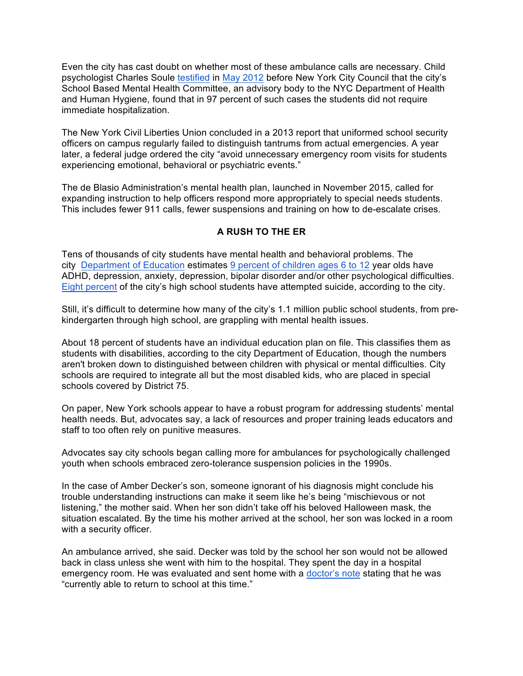Even the city has cast doubt on whether most of these ambulance calls are necessary. Child psychologist Charles Soule testified in May 2012 before New York City Council that the city's School Based Mental Health Committee, an advisory body to the NYC Department of Health and Human Hygiene, found that in 97 percent of such cases the students did not require immediate hospitalization.

The New York Civil Liberties Union concluded in a 2013 report that uniformed school security officers on campus regularly failed to distinguish tantrums from actual emergencies. A year later, a federal judge ordered the city "avoid unnecessary emergency room visits for students experiencing emotional, behavioral or psychiatric events."

The de Blasio Administration's mental health plan, launched in November 2015, called for expanding instruction to help officers respond more appropriately to special needs students. This includes fewer 911 calls, fewer suspensions and training on how to de-escalate crises.

# **A RUSH TO THE ER**

Tens of thousands of city students have mental health and behavioral problems. The city Department of Education estimates 9 percent of children ages 6 to 12 year olds have ADHD, depression, anxiety, depression, bipolar disorder and/or other psychological difficulties. Eight percent of the city's high school students have attempted suicide, according to the city.

Still, it's difficult to determine how many of the city's 1.1 million public school students, from prekindergarten through high school, are grappling with mental health issues.

About 18 percent of students have an individual education plan on file. This classifies them as students with disabilities, according to the city Department of Education, though the numbers aren't broken down to distinguished between children with physical or mental difficulties. City schools are required to integrate all but the most disabled kids, who are placed in special schools covered by District 75.

On paper, New York schools appear to have a robust program for addressing students' mental health needs. But, advocates say, a lack of resources and proper training leads educators and staff to too often rely on punitive measures.

Advocates say city schools began calling more for ambulances for psychologically challenged youth when schools embraced zero-tolerance suspension policies in the 1990s.

In the case of Amber Decker's son, someone ignorant of his diagnosis might conclude his trouble understanding instructions can make it seem like he's being "mischievous or not listening," the mother said. When her son didn't take off his beloved Halloween mask, the situation escalated. By the time his mother arrived at the school, her son was locked in a room with a security officer.

An ambulance arrived, she said. Decker was told by the school her son would not be allowed back in class unless she went with him to the hospital. They spent the day in a hospital emergency room. He was evaluated and sent home with a doctor's note stating that he was "currently able to return to school at this time."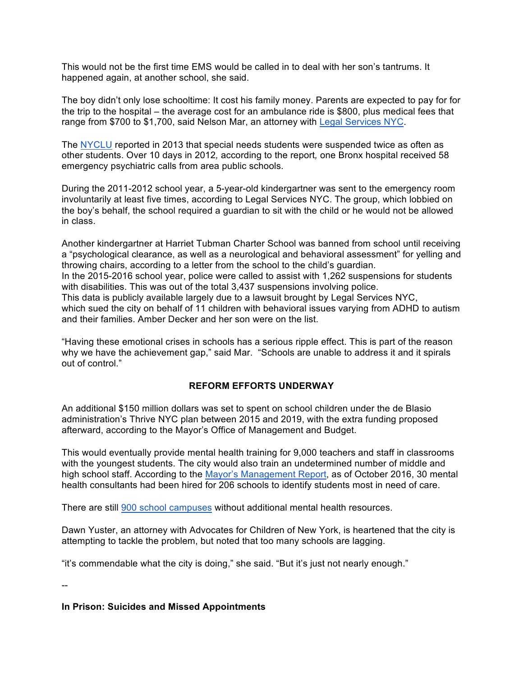This would not be the first time EMS would be called in to deal with her son's tantrums. It happened again, at another school, she said.

The boy didn't only lose schooltime: It cost his family money. Parents are expected to pay for for the trip to the hospital – the average cost for an ambulance ride is \$800, plus medical fees that range from \$700 to \$1,700, said Nelson Mar, an attorney with Legal Services NYC.

The NYCLU reported in 2013 that special needs students were suspended twice as often as other students. Over 10 days in 2012*,* according to the report*,* one Bronx hospital received 58 emergency psychiatric calls from area public schools.

During the 2011-2012 school year, a 5-year-old kindergartner was sent to the emergency room involuntarily at least five times, according to Legal Services NYC. The group, which lobbied on the boy's behalf, the school required a guardian to sit with the child or he would not be allowed in class.

Another kindergartner at Harriet Tubman Charter School was banned from school until receiving a "psychological clearance, as well as a neurological and behavioral assessment" for yelling and throwing chairs, according to a letter from the school to the child's guardian. In the 2015-2016 school year, police were called to assist with 1,262 suspensions for students with disabilities. This was out of the total 3,437 suspensions involving police. This data is publicly available largely due to a lawsuit brought by Legal Services NYC, which sued the city on behalf of 11 children with behavioral issues varying from ADHD to autism and their families. Amber Decker and her son were on the list.

"Having these emotional crises in schools has a serious ripple effect. This is part of the reason why we have the achievement gap," said Mar. "Schools are unable to address it and it spirals out of control."

# **REFORM EFFORTS UNDERWAY**

An additional \$150 million dollars was set to spent on school children under the de Blasio administration's Thrive NYC plan between 2015 and 2019, with the extra funding proposed afterward, according to the Mayor's Office of Management and Budget.

This would eventually provide mental health training for 9,000 teachers and staff in classrooms with the youngest students. The city would also train an undetermined number of middle and high school staff. According to the Mayor's Management Report, as of October 2016, 30 mental health consultants had been hired for 206 schools to identify students most in need of care.

There are still 900 school campuses without additional mental health resources.

Dawn Yuster, an attorney with Advocates for Children of New York, is heartened that the city is attempting to tackle the problem, but noted that too many schools are lagging.

"it's commendable what the city is doing," she said. "But it's just not nearly enough."

--

### **In Prison: Suicides and Missed Appointments**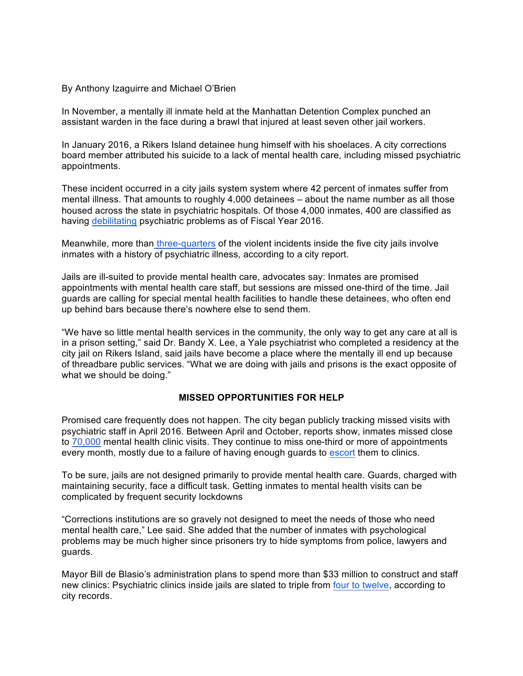#### By Anthony Izaguirre and Michael O'Brien

In November, a mentally ill inmate held at the Manhattan Detention Complex punched an assistant warden in the face during a brawl that injured at least seven other jail workers.

In January 2016, a Rikers Island detainee hung himself with his shoelaces. A city corrections board member attributed his suicide to a lack of mental health care, including missed psychiatric appointments.

These incident occurred in a city jails system system where 42 percent of inmates suffer from mental illness. That amounts to roughly 4,000 detainees – about the name number as all those housed across the state in psychiatric hospitals. Of those 4,000 inmates, 400 are classified as having debilitating psychiatric problems as of Fiscal Year 2016.

Meanwhile, more than three-quarters of the violent incidents inside the five city jails involve inmates with a history of psychiatric illness, according to a city report.

Jails are ill-suited to provide mental health care, advocates say: Inmates are promised appointments with mental health care staff, but sessions are missed one-third of the time. Jail guards are calling for special mental health facilities to handle these detainees, who often end up behind bars because there's nowhere else to send them.

"We have so little mental health services in the community, the only way to get any care at all is in a prison setting," said Dr. Bandy X. Lee, a Yale psychiatrist who completed a residency at the city jail on Rikers Island, said jails have become a place where the mentally ill end up because of threadbare public services. "What we are doing with jails and prisons is the exact opposite of what we should be doing."

#### **MISSED OPPORTUNITIES FOR HELP**

Promised care frequently does not happen. The city began publicly tracking missed visits with psychiatric staff in April 2016. Between April and October, reports show, inmates missed close to 70,000 mental health clinic visits. They continue to miss one-third or more of appointments every month, mostly due to a failure of having enough guards to escort them to clinics.

To be sure, jails are not designed primarily to provide mental health care. Guards, charged with maintaining security, face a difficult task. Getting inmates to mental health visits can be complicated by frequent security lockdowns

"Corrections institutions are so gravely not designed to meet the needs of those who need mental health care," Lee said. She added that the number of inmates with psychological problems may be much higher since prisoners try to hide symptoms from police, lawyers and guards.

Mayor Bill de Blasio's administration plans to spend more than \$33 million to construct and staff new clinics: Psychiatric clinics inside jails are slated to triple from four to twelve, according to city records.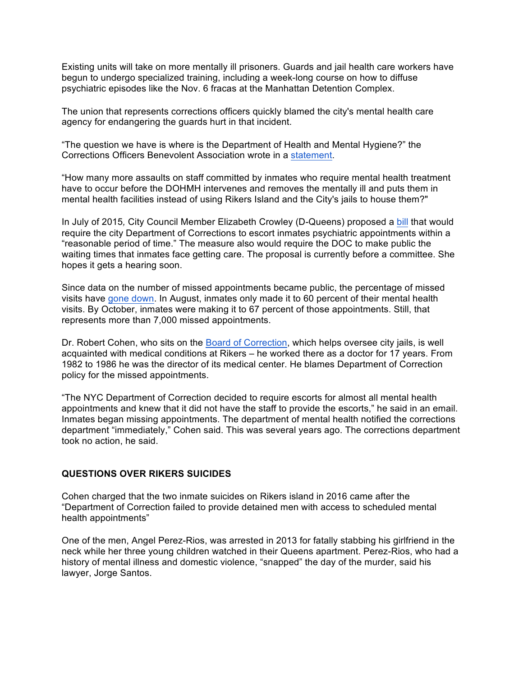Existing units will take on more mentally ill prisoners. Guards and jail health care workers have begun to undergo specialized training, including a week-long course on how to diffuse psychiatric episodes like the Nov. 6 fracas at the Manhattan Detention Complex.

The union that represents corrections officers quickly blamed the city's mental health care agency for endangering the guards hurt in that incident.

"The question we have is where is the Department of Health and Mental Hygiene?" the Corrections Officers Benevolent Association wrote in a statement.

"How many more assaults on staff committed by inmates who require mental health treatment have to occur before the DOHMH intervenes and removes the mentally ill and puts them in mental health facilities instead of using Rikers Island and the City's jails to house them?"

In July of 2015*,* City Council Member Elizabeth Crowley (D-Queens) proposed a bill that would require the city Department of Corrections to escort inmates psychiatric appointments within a "reasonable period of time." The measure also would require the DOC to make public the waiting times that inmates face getting care. The proposal is currently before a committee. She hopes it gets a hearing soon.

Since data on the number of missed appointments became public, the percentage of missed visits have gone down. In August, inmates only made it to 60 percent of their mental health visits. By October, inmates were making it to 67 percent of those appointments. Still, that represents more than 7,000 missed appointments.

Dr. Robert Cohen, who sits on the Board of Correction, which helps oversee city jails, is well acquainted with medical conditions at Rikers – he worked there as a doctor for 17 years. From 1982 to 1986 he was the director of its medical center. He blames Department of Correction policy for the missed appointments.

"The NYC Department of Correction decided to require escorts for almost all mental health appointments and knew that it did not have the staff to provide the escorts," he said in an email. Inmates began missing appointments. The department of mental health notified the corrections department "immediately," Cohen said. This was several years ago. The corrections department took no action, he said.

#### **QUESTIONS OVER RIKERS SUICIDES**

Cohen charged that the two inmate suicides on Rikers island in 2016 came after the "Department of Correction failed to provide detained men with access to scheduled mental health appointments"

One of the men, Angel Perez-Rios, was arrested in 2013 for fatally stabbing his girlfriend in the neck while her three young children watched in their Queens apartment. Perez-Rios, who had a history of mental illness and domestic violence, "snapped" the day of the murder, said his lawyer, Jorge Santos.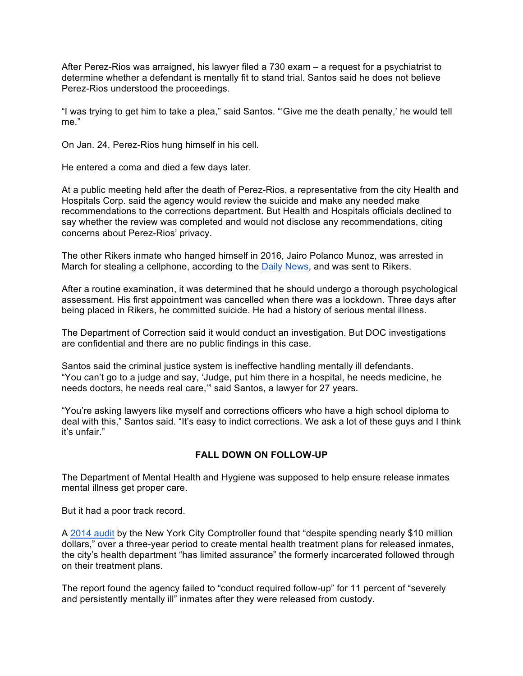After Perez-Rios was arraigned, his lawyer filed a 730 exam – a request for a psychiatrist to determine whether a defendant is mentally fit to stand trial. Santos said he does not believe Perez-Rios understood the proceedings.

"I was trying to get him to take a plea," said Santos. "'Give me the death penalty,' he would tell me."

On Jan. 24, Perez-Rios hung himself in his cell.

He entered a coma and died a few days later.

At a public meeting held after the death of Perez-Rios, a representative from the city Health and Hospitals Corp. said the agency would review the suicide and make any needed make recommendations to the corrections department. But Health and Hospitals officials declined to say whether the review was completed and would not disclose any recommendations, citing concerns about Perez-Rios' privacy.

The other Rikers inmate who hanged himself in 2016, Jairo Polanco Munoz, was arrested in March for stealing a cellphone, according to the **Daily News**, and was sent to Rikers.

After a routine examination, it was determined that he should undergo a thorough psychological assessment. His first appointment was cancelled when there was a lockdown. Three days after being placed in Rikers, he committed suicide. He had a history of serious mental illness.

The Department of Correction said it would conduct an investigation. But DOC investigations are confidential and there are no public findings in this case.

Santos said the criminal justice system is ineffective handling mentally ill defendants. "You can't go to a judge and say, 'Judge, put him there in a hospital, he needs medicine, he needs doctors, he needs real care,'" said Santos, a lawyer for 27 years.

"You're asking lawyers like myself and corrections officers who have a high school diploma to deal with this," Santos said. "It's easy to indict corrections. We ask a lot of these guys and I think it's unfair."

# **FALL DOWN ON FOLLOW-UP**

The Department of Mental Health and Hygiene was supposed to help ensure release inmates mental illness get proper care.

But it had a poor track record.

A 2014 audit by the New York City Comptroller found that "despite spending nearly \$10 million dollars," over a three-year period to create mental health treatment plans for released inmates, the city's health department "has limited assurance" the formerly incarcerated followed through on their treatment plans.

The report found the agency failed to "conduct required follow-up" for 11 percent of "severely and persistently mentally ill" inmates after they were released from custody.